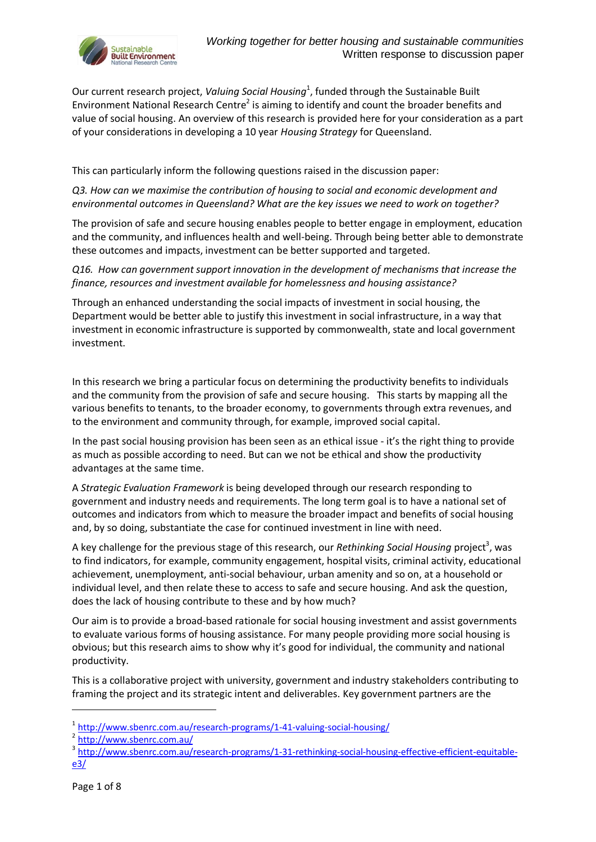

Our current research project, Valuing Social Housing<sup>1</sup>, funded through the Sustainable Built Environment National Research Centre<sup>2</sup> is aiming to identify and count the broader benefits and value of social housing. An overview of this research is provided here for your consideration as a part of your considerations in developing a 10 year *Housing Strategy* for Queensland.

This can particularly inform the following questions raised in the discussion paper:

*Q3. How can we maximise the contribution of housing to social and economic development and environmental outcomes in Queensland? What are the key issues we need to work on together?*

The provision of safe and secure housing enables people to better engage in employment, education and the community, and influences health and well-being. Through being better able to demonstrate these outcomes and impacts, investment can be better supported and targeted.

*Q16. How can government support innovation in the development of mechanisms that increase the finance, resources and investment available for homelessness and housing assistance?*

Through an enhanced understanding the social impacts of investment in social housing, the Department would be better able to justify this investment in social infrastructure, in a way that investment in economic infrastructure is supported by commonwealth, state and local government investment.

In this research we bring a particular focus on determining the productivity benefits to individuals and the community from the provision of safe and secure housing. This starts by mapping all the various benefits to tenants, to the broader economy, to governments through extra revenues, and to the environment and community through, for example, improved social capital.

In the past social housing provision has been seen as an ethical issue - it's the right thing to provide as much as possible according to need. But can we not be ethical and show the productivity advantages at the same time.

A *Strategic Evaluation Framework* is being developed through our research responding to government and industry needs and requirements. The long term goal is to have a national set of outcomes and indicators from which to measure the broader impact and benefits of social housing and, by so doing, substantiate the case for continued investment in line with need.

A key challenge for the previous stage of this research, our *Rethinking Social Housing* project<sup>3</sup>, was to find indicators, for example, community engagement, hospital visits, criminal activity, educational achievement, unemployment, anti-social behaviour, urban amenity and so on, at a household or individual level, and then relate these to access to safe and secure housing. And ask the question, does the lack of housing contribute to these and by how much?

Our aim is to provide a broad-based rationale for social housing investment and assist governments to evaluate various forms of housing assistance. For many people providing more social housing is obvious; but this research aims to show why it's good for individual, the community and national productivity.

This is a collaborative project with university, government and industry stakeholders contributing to framing the project and its strategic intent and deliverables. Key government partners are the

-

<sup>&</sup>lt;sup>1</sup> <http://www.sbenrc.com.au/research-programs/1-41-valuing-social-housing/>

<sup>&</sup>lt;sup>2</sup> <http://www.sbenrc.com.au/>

<sup>&</sup>lt;sup>3</sup> [http://www.sbenrc.com.au/research-programs/1-31-rethinking-social-housing-effective-efficient-equitable](http://www.sbenrc.com.au/research-programs/1-31-rethinking-social-housing-effective-efficient-equitable-e3/)[e3/](http://www.sbenrc.com.au/research-programs/1-31-rethinking-social-housing-effective-efficient-equitable-e3/)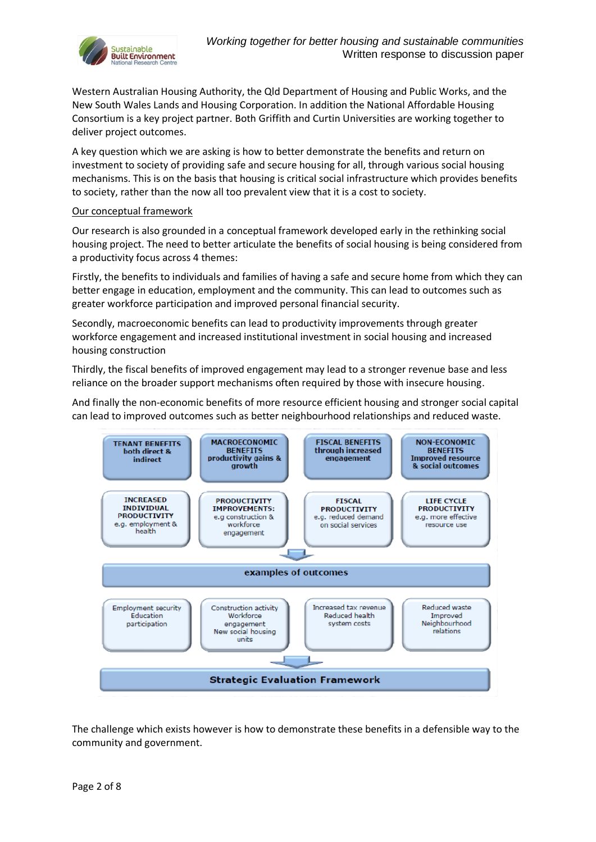

Western Australian Housing Authority, the Qld Department of Housing and Public Works, and the New South Wales Lands and Housing Corporation. In addition the National Affordable Housing Consortium is a key project partner. Both Griffith and Curtin Universities are working together to deliver project outcomes.

A key question which we are asking is how to better demonstrate the benefits and return on investment to society of providing safe and secure housing for all, through various social housing mechanisms. This is on the basis that housing is critical social infrastructure which provides benefits to society, rather than the now all too prevalent view that it is a cost to society.

### Our conceptual framework

Our research is also grounded in a conceptual framework developed early in the rethinking social housing project. The need to better articulate the benefits of social housing is being considered from a productivity focus across 4 themes:

Firstly, the benefits to individuals and families of having a safe and secure home from which they can better engage in education, employment and the community. This can lead to outcomes such as greater workforce participation and improved personal financial security.

Secondly, macroeconomic benefits can lead to productivity improvements through greater workforce engagement and increased institutional investment in social housing and increased housing construction

Thirdly, the fiscal benefits of improved engagement may lead to a stronger revenue base and less reliance on the broader support mechanisms often required by those with insecure housing.

And finally the non-economic benefits of more resource efficient housing and stronger social capital can lead to improved outcomes such as better neighbourhood relationships and reduced waste.



The challenge which exists however is how to demonstrate these benefits in a defensible way to the community and government.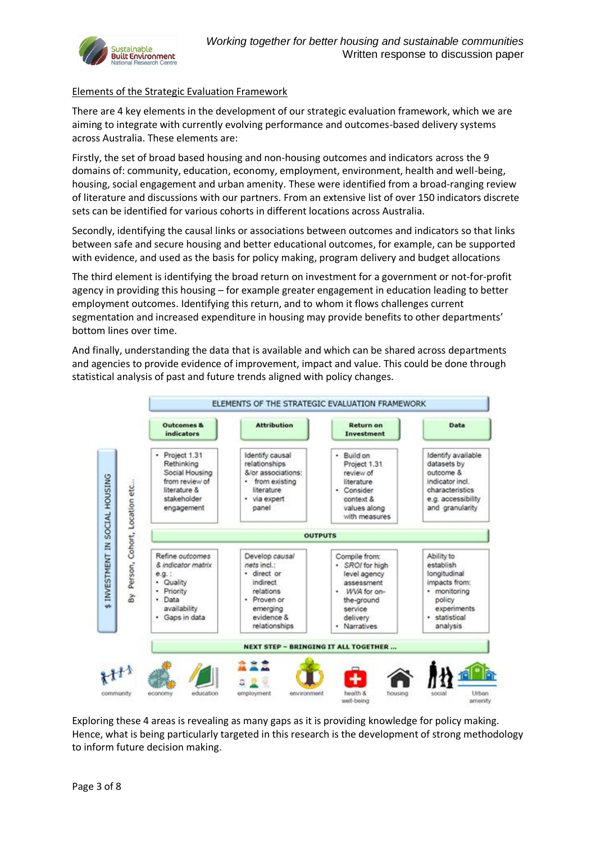

## Elements of the Strategic Evaluation Framework

There are 4 key elements in the development of our strategic evaluation framework, which we are aiming to integrate with currently evolving performance and outcomes-based delivery systems across Australia. These elements are:

Firstly, the set of broad based housing and non-housing outcomes and indicators across the 9 domains of: community, education, economy, employment, environment, health and well-being, housing, social engagement and urban amenity. These were identified from a broad-ranging review of literature and discussions with our partners. From an extensive list of over 150 indicators discrete sets can be identified for various cohorts in different locations across Australia.

Secondly, identifying the causal links or associations between outcomes and indicators so that links between safe and secure housing and better educational outcomes, for example, can be supported with evidence, and used as the basis for policy making, program delivery and budget allocations

The third element is identifying the broad return on investment for a government or not-for-profit agency in providing this housing – for example greater engagement in education leading to better employment outcomes. Identifying this return, and to whom it flows challenges current segmentation and increased expenditure in housing may provide benefits to other departments' bottom lines over time.

And finally, understanding the data that is available and which can be shared across departments and agencies to provide evidence of improvement, impact and value. This could be done through statistical analysis of past and future trends aligned with policy changes.



Exploring these 4 areas is revealing as many gaps as it is providing knowledge for policy making. Hence, what is being particularly targeted in this research is the development of strong methodology to inform future decision making.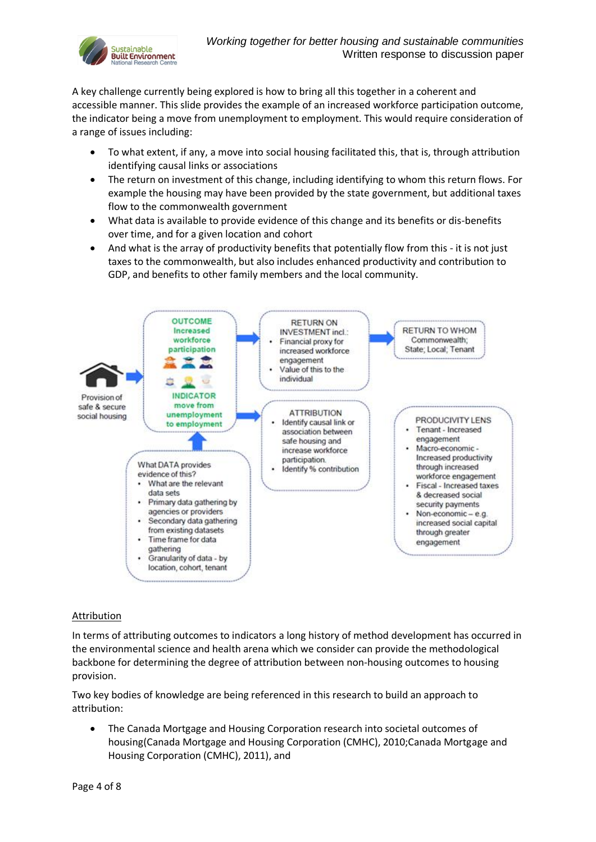

A key challenge currently being explored is how to bring all this together in a coherent and accessible manner. This slide provides the example of an increased workforce participation outcome, the indicator being a move from unemployment to employment. This would require consideration of a range of issues including:

- To what extent, if any, a move into social housing facilitated this, that is, through attribution identifying causal links or associations
- The return on investment of this change, including identifying to whom this return flows. For example the housing may have been provided by the state government, but additional taxes flow to the commonwealth government
- What data is available to provide evidence of this change and its benefits or dis-benefits over time, and for a given location and cohort
- And what is the array of productivity benefits that potentially flow from this it is not just taxes to the commonwealth, but also includes enhanced productivity and contribution to GDP, and benefits to other family members and the local community.



# Attribution

In terms of attributing outcomes to indicators a long history of method development has occurred in the environmental science and health arena which we consider can provide the methodological backbone for determining the degree of attribution between non-housing outcomes to housing provision.

Two key bodies of knowledge are being referenced in this research to build an approach to attribution:

 The Canada Mortgage and Housing Corporation research into societal outcomes of housing(Canada Mortgage and Housing Corporation (CMHC), 2010;Canada Mortgage and Housing Corporation (CMHC), 2011), and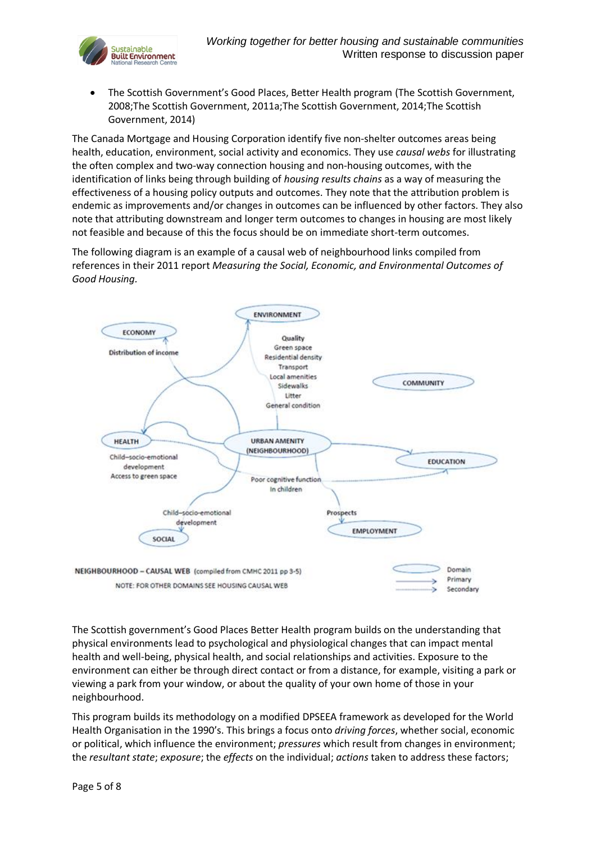

 The Scottish Government's Good Places, Better Health program (The Scottish Government, 2008;The Scottish Government, 2011a;The Scottish Government, 2014;The Scottish Government, 2014)

The Canada Mortgage and Housing Corporation identify five non-shelter outcomes areas being health, education, environment, social activity and economics. They use *causal webs* for illustrating the often complex and two-way connection housing and non-housing outcomes, with the identification of links being through building of *housing results chains* as a way of measuring the effectiveness of a housing policy outputs and outcomes. They note that the attribution problem is endemic as improvements and/or changes in outcomes can be influenced by other factors. They also note that attributing downstream and longer term outcomes to changes in housing are most likely not feasible and because of this the focus should be on immediate short-term outcomes.

The following diagram is an example of a causal web of neighbourhood links compiled from references in their 2011 report *Measuring the Social, Economic, and Environmental Outcomes of Good Housing.*



The Scottish government's Good Places Better Health program builds on the understanding that physical environments lead to psychological and physiological changes that can impact mental health and well-being, physical health, and social relationships and activities. Exposure to the environment can either be through direct contact or from a distance, for example, visiting a park or viewing a park from your window, or about the quality of your own home of those in your neighbourhood.

This program builds its methodology on a modified DPSEEA framework as developed for the World Health Organisation in the 1990's. This brings a focus onto *driving forces*, whether social, economic or political, which influence the environment; *pressures* which result from changes in environment; the *resultant state*; *exposure*; the *effects* on the individual; *actions* taken to address these factors;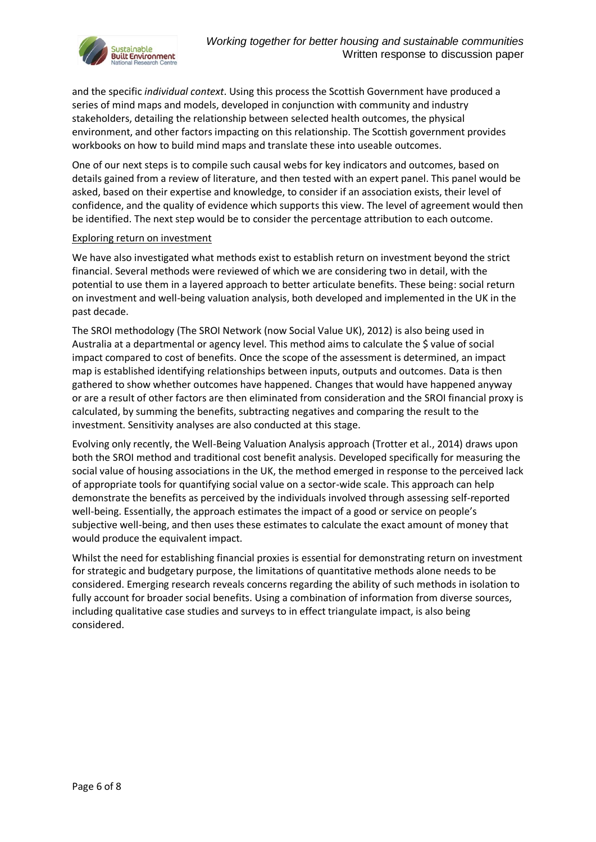

and the specific *individual context*. Using this process the Scottish Government have produced a series of mind maps and models, developed in conjunction with community and industry stakeholders, detailing the relationship between selected health outcomes, the physical environment, and other factors impacting on this relationship. The Scottish government provides workbooks on how to build mind maps and translate these into useable outcomes.

One of our next steps is to compile such causal webs for key indicators and outcomes, based on details gained from a review of literature, and then tested with an expert panel. This panel would be asked, based on their expertise and knowledge, to consider if an association exists, their level of confidence, and the quality of evidence which supports this view. The level of agreement would then be identified. The next step would be to consider the percentage attribution to each outcome.

### Exploring return on investment

We have also investigated what methods exist to establish return on investment beyond the strict financial. Several methods were reviewed of which we are considering two in detail, with the potential to use them in a layered approach to better articulate benefits. These being: social return on investment and well-being valuation analysis, both developed and implemented in the UK in the past decade.

The SROI methodology (The SROI Network (now Social Value UK), 2012) is also being used in Australia at a departmental or agency level. This method aims to calculate the \$ value of social impact compared to cost of benefits. Once the scope of the assessment is determined, an impact map is established identifying relationships between inputs, outputs and outcomes. Data is then gathered to show whether outcomes have happened. Changes that would have happened anyway or are a result of other factors are then eliminated from consideration and the SROI financial proxy is calculated, by summing the benefits, subtracting negatives and comparing the result to the investment. Sensitivity analyses are also conducted at this stage.

Evolving only recently, the Well-Being Valuation Analysis approach (Trotter et al., 2014) draws upon both the SROI method and traditional cost benefit analysis. Developed specifically for measuring the social value of housing associations in the UK, the method emerged in response to the perceived lack of appropriate tools for quantifying social value on a sector-wide scale. This approach can help demonstrate the benefits as perceived by the individuals involved through assessing self-reported well-being. Essentially, the approach estimates the impact of a good or service on people's subjective well-being, and then uses these estimates to calculate the exact amount of money that would produce the equivalent impact.

Whilst the need for establishing financial proxies is essential for demonstrating return on investment for strategic and budgetary purpose, the limitations of quantitative methods alone needs to be considered. Emerging research reveals concerns regarding the ability of such methods in isolation to fully account for broader social benefits. Using a combination of information from diverse sources, including qualitative case studies and surveys to in effect triangulate impact, is also being considered.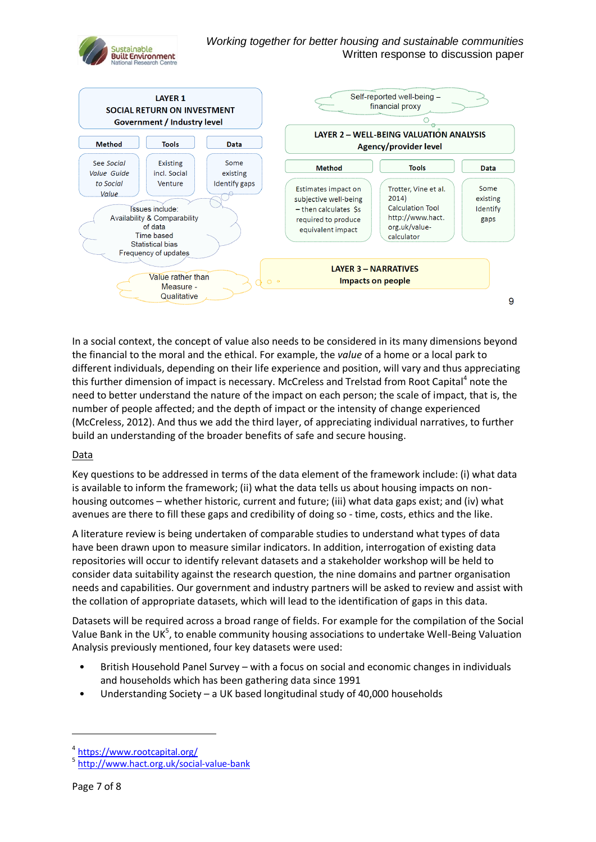



In a social context, the concept of value also needs to be considered in its many dimensions beyond the financial to the moral and the ethical. For example, the *value* of a home or a local park to different individuals, depending on their life experience and position, will vary and thus appreciating this further dimension of impact is necessary. McCreless and Trelstad from Root Capital<sup>4</sup> note the need to better understand the nature of the impact on each person; the scale of impact, that is, the number of people affected; and the depth of impact or the intensity of change experienced (McCreless, 2012). And thus we add the third layer, of appreciating individual narratives, to further build an understanding of the broader benefits of safe and secure housing.

### Data

Key questions to be addressed in terms of the data element of the framework include: (i) what data is available to inform the framework; (ii) what the data tells us about housing impacts on nonhousing outcomes – whether historic, current and future; (iii) what data gaps exist; and (iv) what avenues are there to fill these gaps and credibility of doing so - time, costs, ethics and the like.

A literature review is being undertaken of comparable studies to understand what types of data have been drawn upon to measure similar indicators. In addition, interrogation of existing data repositories will occur to identify relevant datasets and a stakeholder workshop will be held to consider data suitability against the research question, the nine domains and partner organisation needs and capabilities. Our government and industry partners will be asked to review and assist with the collation of appropriate datasets, which will lead to the identification of gaps in this data.

Datasets will be required across a broad range of fields. For example for the compilation of the Social Value Bank in the UK<sup>5</sup>, to enable community housing associations to undertake Well-Being Valuation Analysis previously mentioned, four key datasets were used:

- British Household Panel Survey with a focus on social and economic changes in individuals and households which has been gathering data since 1991
- Understanding Society a UK based longitudinal study of 40,000 households

1

<sup>4</sup> <https://www.rootcapital.org/>

<sup>&</sup>lt;sup>5</sup> <http://www.hact.org.uk/social-value-bank>